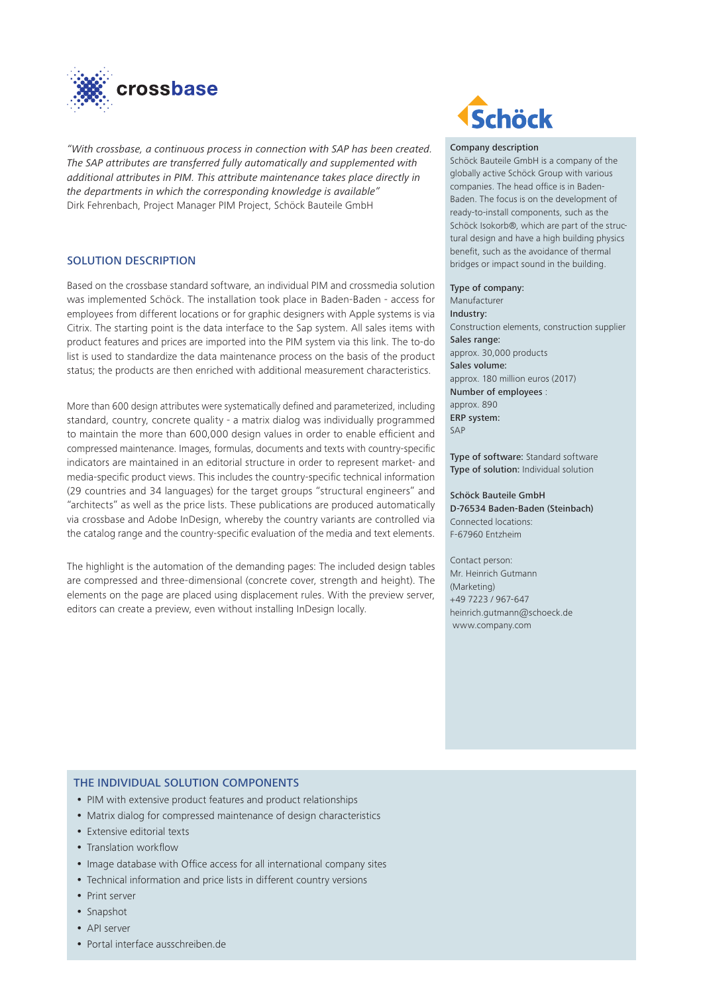

*"With crossbase, a continuous process in connection with SAP has been created. The SAP attributes are transferred fully automatically and supplemented with additional attributes in PIM. This attribute maintenance takes place directly in the departments in which the corresponding knowledge is available"* Dirk Fehrenbach, Project Manager PIM Project, Schöck Bauteile GmbH

# SOLUTION DESCRIPTION

Based on the crossbase standard software, an individual PIM and crossmedia solution was implemented Schöck. The installation took place in Baden-Baden - access for employees from different locations or for graphic designers with Apple systems is via Citrix. The starting point is the data interface to the Sap system. All sales items with product features and prices are imported into the PIM system via this link. The to-do list is used to standardize the data maintenance process on the basis of the product status; the products are then enriched with additional measurement characteristics.

More than 600 design attributes were systematically defined and parameterized, including standard, country, concrete quality - a matrix dialog was individually programmed to maintain the more than 600,000 design values in order to enable efficient and compressed maintenance. Images, formulas, documents and texts with country-specific indicators are maintained in an editorial structure in order to represent market- and media-specific product views. This includes the country-specific technical information (29 countries and 34 languages) for the target groups "structural engineers" and "architects" as well as the price lists. These publications are produced automatically via crossbase and Adobe InDesign, whereby the country variants are controlled via the catalog range and the country-specific evaluation of the media and text elements.

The highlight is the automation of the demanding pages: The included design tables are compressed and three-dimensional (concrete cover, strength and height). The elements on the page are placed using displacement rules. With the preview server, editors can create a preview, even without installing InDesign locally.



#### Company description

Schöck Bauteile GmbH is a company of the globally active Schöck Group with various companies. The head office is in Baden-Baden. The focus is on the development of ready-to-install components, such as the Schöck Isokorb®, which are part of the structural design and have a high building physics benefit, such as the avoidance of thermal bridges or impact sound in the building.

#### Type of company:

Manufacturer Industry: Construction elements, construction supplier Sales range: approx. 30,000 products Sales volume: approx. 180 million euros (2017) Number of employees : approx. 890 ERP system: SAP

Type of software: Standard software Type of solution: Individual solution

Schöck Bauteile GmbH D-76534 Baden-Baden (Steinbach) Connected locations: F-67960 Entzheim

Contact person: Mr. Heinrich Gutmann (Marketing) +49 7223 / 967-647 heinrich.gutmann@schoeck.de www.company.com

### THE INDIVIDUAL SOLUTION COMPONENTS

- PIM with extensive product features and product relationships
- Matrix dialog for compressed maintenance of design characteristics
- Extensive editorial texts
- Translation workflow
- Image database with Office access for all international company sites
- Technical information and price lists in different country versions
- Print server
- Snapshot
- API server
- Portal interface ausschreiben.de